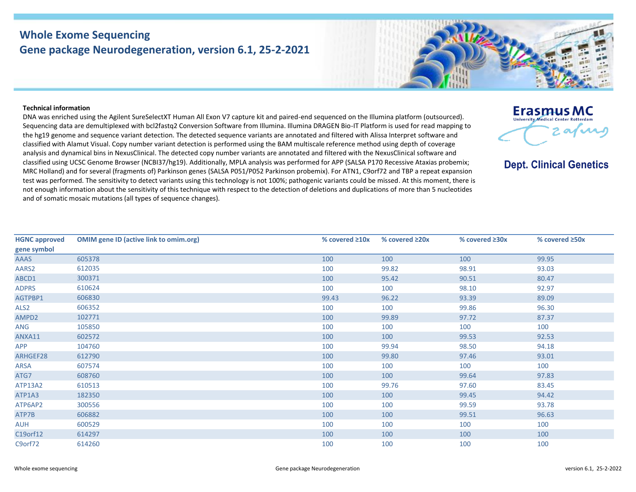## **Whole Exome Sequencing Gene package Neurodegeneration, version 6.1, 25-2-2021**



## **Technical information**

DNA was enriched using the Agilent SureSelectXT Human All Exon V7 capture kit and paired-end sequenced on the Illumina platform (outsourced). Sequencing data are demultiplexed with bcl2fastq2 Conversion Software from Illumina. Illumina DRAGEN Bio-IT Platform is used for read mapping to the hg19 genome and sequence variant detection. The detected sequence variants are annotated and filtered with Alissa Interpret software and classified with Alamut Visual. Copy number variant detection is performed using the BAM multiscale reference method using depth of coverage analysis and dynamical bins in NexusClinical. The detected copy number variants are annotated and filtered with the NexusClinical software and classified using UCSC Genome Browser (NCBI37/hg19). Additionally, MPLA analysis was performed for APP (SALSA P170 Recessive Ataxias probemix; MRC Holland) and for several (fragments of) Parkinson genes (SALSA P051/P052 Parkinson probemix). For ATN1, C9orf72 and TBP a repeat expansion test was performed. The sensitivity to detect variants using this technology is not 100%; pathogenic variants could be missed. At this moment, there is not enough information about the sensitivity of this technique with respect to the detection of deletions and duplications of more than 5 nucleotides and of somatic mosaic mutations (all types of sequence changes).

| Erasmus MC                                 |
|--------------------------------------------|
| <b>University Medical Center Rotterdam</b> |
| $\boldsymbol{\alpha}$                      |

## **Dept. Clinical Genetics**

| <b>HGNC approved</b> | <b>OMIM gene ID (active link to omim.org)</b> | % covered $\geq 10x$ | % covered ≥20x | % covered ≥30x | % covered $\geq$ 50x |
|----------------------|-----------------------------------------------|----------------------|----------------|----------------|----------------------|
| gene symbol          |                                               |                      |                |                |                      |
| AAAS                 | 605378                                        | 100                  | 100            | 100            | 99.95                |
| AARS2                | 612035                                        | 100                  | 99.82          | 98.91          | 93.03                |
| ABCD1                | 300371                                        | 100                  | 95.42          | 90.51          | 80.47                |
| <b>ADPRS</b>         | 610624                                        | 100                  | 100            | 98.10          | 92.97                |
| AGTPBP1              | 606830                                        | 99.43                | 96.22          | 93.39          | 89.09                |
| ALS <sub>2</sub>     | 606352                                        | 100                  | 100            | 99.86          | 96.30                |
| AMPD2                | 102771                                        | 100                  | 99.89          | 97.72          | 87.37                |
| ANG                  | 105850                                        | 100                  | 100            | 100            | 100                  |
| ANXA11               | 602572                                        | 100                  | 100            | 99.53          | 92.53                |
| <b>APP</b>           | 104760                                        | 100                  | 99.94          | 98.50          | 94.18                |
| ARHGEF28             | 612790                                        | 100                  | 99.80          | 97.46          | 93.01                |
| ARSA                 | 607574                                        | 100                  | 100            | 100            | 100                  |
| ATG7                 | 608760                                        | 100                  | 100            | 99.64          | 97.83                |
| ATP13A2              | 610513                                        | 100                  | 99.76          | 97.60          | 83.45                |
| ATP1A3               | 182350                                        | 100                  | 100            | 99.45          | 94.42                |
| ATP6AP2              | 300556                                        | 100                  | 100            | 99.59          | 93.78                |
| ATP7B                | 606882                                        | 100                  | 100            | 99.51          | 96.63                |
| <b>AUH</b>           | 600529                                        | 100                  | 100            | 100            | 100                  |
| C19orf12             | 614297                                        | 100                  | 100            | 100            | 100                  |
| C9orf72              | 614260                                        | 100                  | 100            | 100            | 100                  |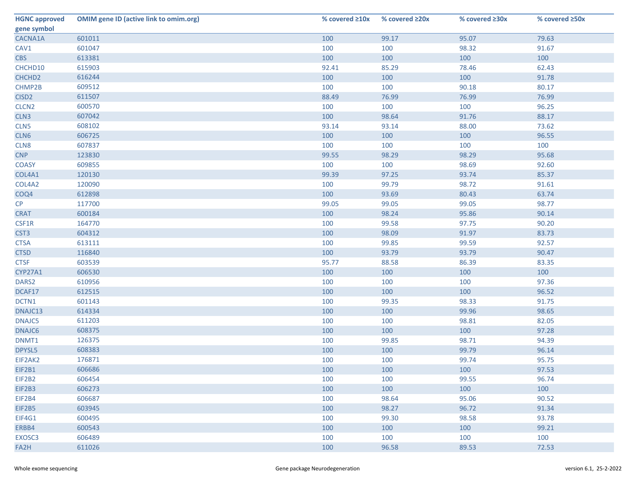| <b>HGNC approved</b> | <b>OMIM gene ID (active link to omim.org)</b> | % covered $\geq 10x$ | % covered ≥20x | % covered $\geq 30x$ | % covered ≥50x |
|----------------------|-----------------------------------------------|----------------------|----------------|----------------------|----------------|
| gene symbol          |                                               |                      |                |                      |                |
| CACNA1A              | 601011                                        | 100                  | 99.17          | 95.07                | 79.63          |
| CAV1                 | 601047                                        | 100                  | 100            | 98.32                | 91.67          |
| <b>CBS</b>           | 613381                                        | 100                  | 100            | 100                  | 100            |
| CHCHD10              | 615903                                        | 92.41                | 85.29          | 78.46                | 62.43          |
| CHCHD <sub>2</sub>   | 616244                                        | 100                  | 100            | 100                  | 91.78          |
| CHMP2B               | 609512                                        | 100                  | 100            | 90.18                | 80.17          |
| CISD <sub>2</sub>    | 611507                                        | 88.49                | 76.99          | 76.99                | 76.99          |
| CLCN <sub>2</sub>    | 600570                                        | 100                  | 100            | 100                  | 96.25          |
| CLN <sub>3</sub>     | 607042                                        | 100                  | 98.64          | 91.76                | 88.17          |
| CLN5                 | 608102                                        | 93.14                | 93.14          | 88.00                | 73.62          |
| CLN6                 | 606725                                        | 100                  | 100            | 100                  | 96.55          |
| CLN8                 | 607837                                        | 100                  | 100            | 100                  | 100            |
| <b>CNP</b>           | 123830                                        | 99.55                | 98.29          | 98.29                | 95.68          |
| <b>COASY</b>         | 609855                                        | 100                  | 100            | 98.69                | 92.60          |
| COL4A1               | 120130                                        | 99.39                | 97.25          | 93.74                | 85.37          |
| COL4A2               | 120090                                        | 100                  | 99.79          | 98.72                | 91.61          |
| COQ4                 | 612898                                        | 100                  | 93.69          | 80.43                | 63.74          |
| CP                   | 117700                                        | 99.05                | 99.05          | 99.05                | 98.77          |
| <b>CRAT</b>          | 600184                                        | 100                  | 98.24          | 95.86                | 90.14          |
| CSF1R                | 164770                                        | 100                  | 99.58          | 97.75                | 90.20          |
| CST <sub>3</sub>     | 604312                                        | 100                  | 98.09          | 91.97                | 83.73          |
| <b>CTSA</b>          | 613111                                        | 100                  | 99.85          | 99.59                | 92.57          |
| <b>CTSD</b>          | 116840                                        | 100                  | 93.79          | 93.79                | 90.47          |
| <b>CTSF</b>          | 603539                                        | 95.77                | 88.58          | 86.39                | 83.35          |
| CYP27A1              | 606530                                        | 100                  | 100            | 100                  | 100            |
| DARS2                | 610956                                        | 100                  | 100            | 100                  | 97.36          |
| DCAF17               | 612515                                        | 100                  | 100            | 100                  | 96.52          |
| DCTN1                | 601143                                        | 100                  | 99.35          | 98.33                | 91.75          |
| DNAJC13              | 614334                                        | 100                  | 100            | 99.96                | 98.65          |
| DNAJC5               | 611203                                        | 100                  | 100            | 98.81                | 82.05          |
| DNAJC6               | 608375                                        | 100                  | 100            | 100                  | 97.28          |
| DNMT1                | 126375                                        | 100                  | 99.85          | 98.71                | 94.39          |
| DPYSL5               | 608383                                        | 100                  | 100            | 99.79                | 96.14          |
| EIF2AK2              | 176871                                        | 100                  | 100            | 99.74                | 95.75          |
| EIF2B1               | 606686                                        | 100                  | 100            | 100                  | 97.53          |
| EIF2B2               | 606454                                        | 100                  | 100            | 99.55                | 96.74          |
| EIF2B3               | 606273                                        | 100                  | 100            | 100                  | 100            |
| EIF2B4               | 606687                                        | 100                  | 98.64          | 95.06                | 90.52          |
| <b>EIF2B5</b>        | 603945                                        | 100                  | 98.27          | 96.72                | 91.34          |
| EIF4G1               | 600495                                        | 100                  | 99.30          | 98.58                | 93.78          |
| ERBB4                | 600543                                        | 100                  | 100            | 100                  | 99.21          |
| EXOSC <sub>3</sub>   | 606489                                        | 100                  | 100            | 100                  | 100            |
| FA2H                 | 611026                                        | 100                  | 96.58          | 89.53                | 72.53          |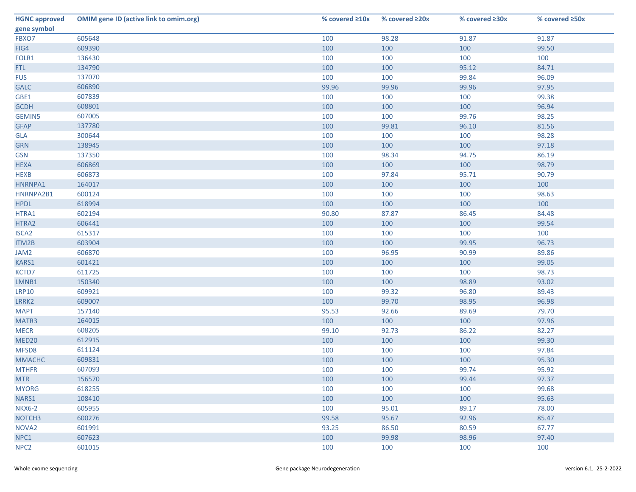| <b>HGNC approved</b> | <b>OMIM gene ID (active link to omim.org)</b> | % covered $\geq 10x$ | % covered $\geq 20x$ | % covered ≥30x | % covered ≥50x |
|----------------------|-----------------------------------------------|----------------------|----------------------|----------------|----------------|
| gene symbol          |                                               |                      |                      |                |                |
| FBXO7                | 605648                                        | 100                  | 98.28                | 91.87          | 91.87          |
| FIG4                 | 609390                                        | 100                  | 100                  | 100            | 99.50          |
| FOLR1                | 136430                                        | 100                  | 100                  | 100            | 100            |
| FTL                  | 134790                                        | 100                  | 100                  | 95.12          | 84.71          |
| <b>FUS</b>           | 137070                                        | 100                  | 100                  | 99.84          | 96.09          |
| <b>GALC</b>          | 606890                                        | 99.96                | 99.96                | 99.96          | 97.95          |
| GBE1                 | 607839                                        | 100                  | 100                  | 100            | 99.38          |
| <b>GCDH</b>          | 608801                                        | 100                  | 100                  | 100            | 96.94          |
| <b>GEMIN5</b>        | 607005                                        | 100                  | 100                  | 99.76          | 98.25          |
| <b>GFAP</b>          | 137780                                        | 100                  | 99.81                | 96.10          | 81.56          |
| <b>GLA</b>           | 300644                                        | 100                  | 100                  | 100            | 98.28          |
| <b>GRN</b>           | 138945                                        | 100                  | 100                  | 100            | 97.18          |
| <b>GSN</b>           | 137350                                        | 100                  | 98.34                | 94.75          | 86.19          |
| <b>HEXA</b>          | 606869                                        | 100                  | 100                  | 100            | 98.79          |
| <b>HEXB</b>          | 606873                                        | 100                  | 97.84                | 95.71          | 90.79          |
| HNRNPA1              | 164017                                        | 100                  | 100                  | 100            | 100            |
| HNRNPA2B1            | 600124                                        | 100                  | 100                  | 100            | 98.63          |
| <b>HPDL</b>          | 618994                                        | 100                  | 100                  | 100            | 100            |
| HTRA1                | 602194                                        | 90.80                | 87.87                | 86.45          | 84.48          |
| HTRA2                | 606441                                        | 100                  | 100                  | 100            | 99.54          |
| ISCA <sub>2</sub>    | 615317                                        | 100                  | 100                  | 100            | 100            |
| ITM2B                | 603904                                        | 100                  | 100                  | 99.95          | 96.73          |
| JAM2                 | 606870                                        | 100                  | 96.95                | 90.99          | 89.86          |
| KARS1                | 601421                                        | 100                  | 100                  | 100            | 99.05          |
| KCTD7                | 611725                                        | 100                  | 100                  | 100            | 98.73          |
| LMNB1                | 150340                                        | 100                  | 100                  | 98.89          | 93.02          |
| <b>LRP10</b>         | 609921                                        | 100                  | 99.32                | 96.80          | 89.43          |
| LRRK2                | 609007                                        | 100                  | 99.70                | 98.95          | 96.98          |
| <b>MAPT</b>          | 157140                                        | 95.53                | 92.66                | 89.69          | 79.70          |
| MATR3                | 164015                                        | 100                  | 100                  | 100            | 97.96          |
| <b>MECR</b>          | 608205                                        | 99.10                | 92.73                | 86.22          | 82.27          |
| MED <sub>20</sub>    | 612915                                        | 100                  | 100                  | 100            | 99.30          |
| MFSD8                | 611124                                        | 100                  | 100                  | 100            | 97.84          |
| <b>MMACHC</b>        | 609831                                        | 100                  | 100                  | 100            | 95.30          |
| <b>MTHFR</b>         | 607093                                        | 100                  | 100                  | 99.74          | 95.92          |
| <b>MTR</b>           | 156570                                        | 100                  | 100                  | 99.44          | 97.37          |
| <b>MYORG</b>         | 618255                                        | 100                  | 100                  | 100            | 99.68          |
| NARS1                | 108410                                        | 100                  | 100                  | 100            | 95.63          |
| <b>NKX6-2</b>        | 605955                                        | 100                  | 95.01                | 89.17          | 78.00          |
| NOTCH <sub>3</sub>   | 600276                                        | 99.58                | 95.67                | 92.96          | 85.47          |
| NOVA <sub>2</sub>    | 601991                                        | 93.25                | 86.50                | 80.59          | 67.77          |
| NPC1                 | 607623                                        | 100                  | 99.98                | 98.96          | 97.40          |
| NPC <sub>2</sub>     | 601015                                        | 100                  | 100                  | 100            | 100            |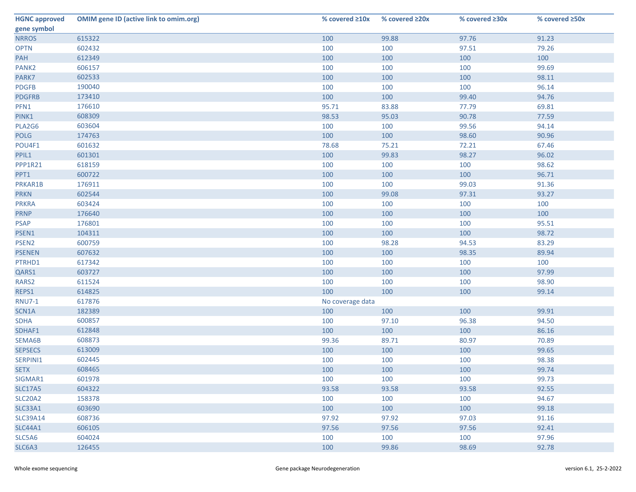| <b>HGNC approved</b> | <b>OMIM gene ID (active link to omim.org)</b> | % covered $\geq 10x$ | % covered ≥20x | % covered $\geq 30x$ | % covered ≥50x |
|----------------------|-----------------------------------------------|----------------------|----------------|----------------------|----------------|
| gene symbol          |                                               |                      |                |                      |                |
| <b>NRROS</b>         | 615322                                        | 100                  | 99.88          | 97.76                | 91.23          |
| <b>OPTN</b>          | 602432                                        | 100                  | 100            | 97.51                | 79.26          |
| PAH                  | 612349                                        | 100                  | 100            | 100                  | 100            |
| PANK <sub>2</sub>    | 606157                                        | 100                  | 100            | 100                  | 99.69          |
| PARK7                | 602533                                        | 100                  | 100            | 100                  | 98.11          |
| <b>PDGFB</b>         | 190040                                        | 100                  | 100            | 100                  | 96.14          |
| <b>PDGFRB</b>        | 173410                                        | 100                  | 100            | 99.40                | 94.76          |
| PFN1                 | 176610                                        | 95.71                | 83.88          | 77.79                | 69.81          |
| PINK1                | 608309                                        | 98.53                | 95.03          | 90.78                | 77.59          |
| PLA2G6               | 603604                                        | 100                  | 100            | 99.56                | 94.14          |
| <b>POLG</b>          | 174763                                        | 100                  | 100            | 98.60                | 90.96          |
| POU4F1               | 601632                                        | 78.68                | 75.21          | 72.21                | 67.46          |
| PPIL1                | 601301                                        | 100                  | 99.83          | 98.27                | 96.02          |
| PPP1R21              | 618159                                        | 100                  | 100            | 100                  | 98.62          |
| PPT1                 | 600722                                        | 100                  | 100            | 100                  | 96.71          |
| PRKAR1B              | 176911                                        | 100                  | 100            | 99.03                | 91.36          |
| <b>PRKN</b>          | 602544                                        | 100                  | 99.08          | 97.31                | 93.27          |
| <b>PRKRA</b>         | 603424                                        | 100                  | 100            | 100                  | 100            |
| <b>PRNP</b>          | 176640                                        | 100                  | 100            | 100                  | 100            |
| <b>PSAP</b>          | 176801                                        | 100                  | 100            | 100                  | 95.51          |
| PSEN1                | 104311                                        | 100                  | 100            | 100                  | 98.72          |
| PSEN <sub>2</sub>    | 600759                                        | 100                  | 98.28          | 94.53                | 83.29          |
| <b>PSENEN</b>        | 607632                                        | 100                  | 100            | 98.35                | 89.94          |
| PTRHD1               | 617342                                        | 100                  | 100            | 100                  | 100            |
| QARS1                | 603727                                        | 100                  | 100            | 100                  | 97.99          |
| RARS2                | 611524                                        | 100                  | 100            | 100                  | 98.90          |
| REPS1                | 614825                                        | 100                  | 100            | 100                  | 99.14          |
| <b>RNU7-1</b>        | 617876                                        | No coverage data     |                |                      |                |
| SCN1A                | 182389                                        | 100                  | 100            | 100                  | 99.91          |
| <b>SDHA</b>          | 600857                                        | 100                  | 97.10          | 96.38                | 94.50          |
| SDHAF1               | 612848                                        | 100                  | 100            | 100                  | 86.16          |
| SEMA6B               | 608873                                        | 99.36                | 89.71          | 80.97                | 70.89          |
| <b>SEPSECS</b>       | 613009                                        | 100                  | 100            | 100                  | 99.65          |
| SERPINI1             | 602445                                        | 100                  | 100            | 100                  | 98.38          |
| <b>SETX</b>          | 608465                                        | 100                  | 100            | 100                  | 99.74          |
| SIGMAR1              | 601978                                        | 100                  | 100            | 100                  | 99.73          |
| <b>SLC17A5</b>       | 604322                                        | 93.58                | 93.58          | 93.58                | 92.55          |
| <b>SLC20A2</b>       | 158378                                        | 100                  | 100            | 100                  | 94.67          |
| SLC33A1              | 603690                                        | 100                  | 100            | 100                  | 99.18          |
| <b>SLC39A14</b>      | 608736                                        | 97.92                | 97.92          | 97.03                | 91.16          |
| <b>SLC44A1</b>       | 606105                                        | 97.56                | 97.56          | 97.56                | 92.41          |
| SLC5A6               | 604024                                        | 100                  | 100            | 100                  | 97.96          |
| SLC6A3               | 126455                                        | 100                  | 99.86          | 98.69                | 92.78          |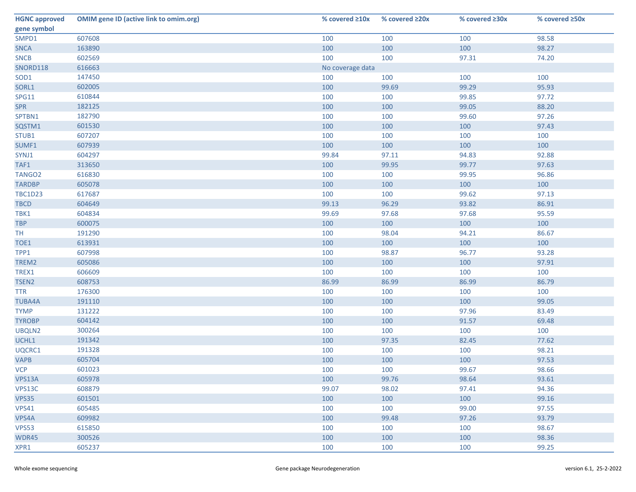| <b>HGNC approved</b> | <b>OMIM gene ID (active link to omim.org)</b> | % covered $\geq 10x$ | % covered $\geq 20x$ | % covered $\geq 30x$ | % covered ≥50x |
|----------------------|-----------------------------------------------|----------------------|----------------------|----------------------|----------------|
| gene symbol          |                                               |                      |                      |                      |                |
| SMPD1                | 607608                                        | 100                  | 100                  | 100                  | 98.58          |
| <b>SNCA</b>          | 163890                                        | 100                  | 100                  | 100                  | 98.27          |
| <b>SNCB</b>          | 602569                                        | 100                  | 100                  | 97.31                | 74.20          |
| SNORD118             | 616663                                        | No coverage data     |                      |                      |                |
| SOD1                 | 147450                                        | 100                  | 100                  | 100                  | 100            |
| SORL1                | 602005                                        | 100                  | 99.69                | 99.29                | 95.93          |
| <b>SPG11</b>         | 610844                                        | 100                  | 100                  | 99.85                | 97.72          |
| <b>SPR</b>           | 182125                                        | 100                  | 100                  | 99.05                | 88.20          |
| SPTBN1               | 182790                                        | 100                  | 100                  | 99.60                | 97.26          |
| SQSTM1               | 601530                                        | 100                  | 100                  | 100                  | 97.43          |
| STUB1                | 607207                                        | 100                  | 100                  | 100                  | 100            |
| SUMF1                | 607939                                        | 100                  | 100                  | 100                  | 100            |
| SYNJ1                | 604297                                        | 99.84                | 97.11                | 94.83                | 92.88          |
| TAF1                 | 313650                                        | 100                  | 99.95                | 99.77                | 97.63          |
| TANGO <sub>2</sub>   | 616830                                        | 100                  | 100                  | 99.95                | 96.86          |
| <b>TARDBP</b>        | 605078                                        | 100                  | 100                  | 100                  | 100            |
| <b>TBC1D23</b>       | 617687                                        | 100                  | 100                  | 99.62                | 97.13          |
| <b>TBCD</b>          | 604649                                        | 99.13                | 96.29                | 93.82                | 86.91          |
| TBK1                 | 604834                                        | 99.69                | 97.68                | 97.68                | 95.59          |
| <b>TBP</b>           | 600075                                        | 100                  | 100                  | 100                  | 100            |
| TH.                  | 191290                                        | 100                  | 98.04                | 94.21                | 86.67          |
| TOE1                 | 613931                                        | 100                  | 100                  | 100                  | 100            |
| TPP1                 | 607998                                        | 100                  | 98.87                | 96.77                | 93.28          |
| TREM2                | 605086                                        | 100                  | 100                  | 100                  | 97.91          |
| TREX1                | 606609                                        | 100                  | 100                  | 100                  | 100            |
| TSEN <sub>2</sub>    | 608753                                        | 86.99                | 86.99                | 86.99                | 86.79          |
| <b>TTR</b>           | 176300                                        | 100                  | 100                  | 100                  | 100            |
| <b>TUBA4A</b>        | 191110                                        | 100                  | 100                  | 100                  | 99.05          |
| <b>TYMP</b>          | 131222                                        | 100                  | 100                  | 97.96                | 83.49          |
| <b>TYROBP</b>        | 604142                                        | 100                  | 100                  | 91.57                | 69.48          |
| UBQLN2               | 300264                                        | 100                  | 100                  | 100                  | 100            |
| UCHL1                | 191342                                        | 100                  | 97.35                | 82.45                | 77.62          |
| UQCRC1               | 191328                                        | 100                  | 100                  | 100                  | 98.21          |
| <b>VAPB</b>          | 605704                                        | 100                  | 100                  | 100                  | 97.53          |
| <b>VCP</b>           | 601023                                        | 100                  | 100                  | 99.67                | 98.66          |
| VPS13A               | 605978                                        | 100                  | 99.76                | 98.64                | 93.61          |
| VPS13C               | 608879                                        | 99.07                | 98.02                | 97.41                | 94.36          |
| VPS35                | 601501                                        | 100                  | 100                  | 100                  | 99.16          |
| VPS41                | 605485                                        | 100                  | 100                  | 99.00                | 97.55          |
| VPS4A                | 609982                                        | 100                  | 99.48                | 97.26                | 93.79          |
| <b>VPS53</b>         | 615850                                        | 100                  | 100                  | 100                  | 98.67          |
| WDR45                | 300526                                        | 100                  | 100                  | 100                  | 98.36          |
| XPR1                 | 605237                                        | 100                  | 100                  | 100                  | 99.25          |